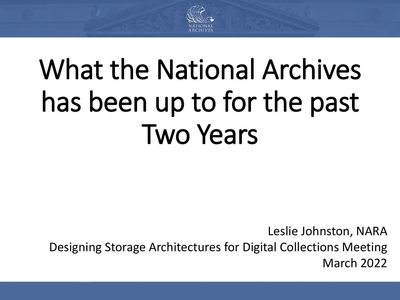

# What the National Archives has been up to for the past Two Years

Leslie Johnston, NARA Designing Storage Architectures for Digital Collections Meeting March 2022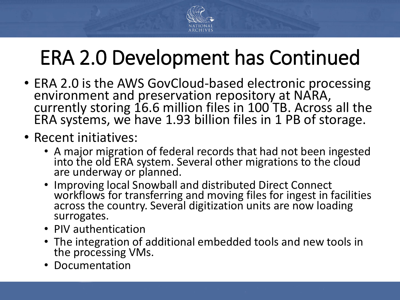

# ERA 2.0 Development has Continued

- ERA 2.0 is the AWS GovCloud-based electronic processing environment and preservation repository at NARA, currently storing 16.6 million files in 100TB. Across all the ERA systems, we have 1.93 billion files in 1 PB of storage.
- Recent initiatives:
	- A major migration of federal records that had not been ingested into the old ERA system. Several other migrations to the cloud are underway or planned.
	- Improving local Snowball and distributed Direct Connect workflows for transferring and moving files for ingest in facilities across the country. Several digitization units are now loading surrogates.
	- PIV authentication
	- The integration of additional embedded tools and new tools in the processing VMs.
	- Documentation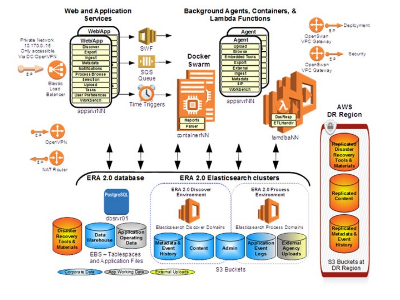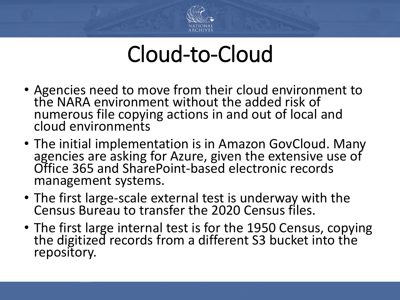

# Cloud-to-Cloud

- Agencies need to move from their cloud environment to the NARA environment without the added risk of numerous file copying actions in and out of local and cloud environments
- The initial implementation is in Amazon GovCloud. Many agencies are asking for Azure, given the extensive use of Office 365 and SharePoint-based electronic records management systems.
- The first large-scale external test is underway with the Census Bureau to transfer the 2020 Census files.
- The first large internal test is for the 1950 Census, copying the digitized records from a different S3 bucket into the repository.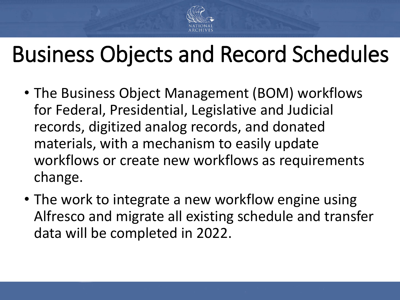

# Business Objects and Record Schedules

- The Business Object Management (BOM) workflows for Federal, Presidential, Legislative and Judicial records, digitized analog records, and donated materials, with a mechanism to easily update workflows or create new workflows as requirements change.
- The work to integrate a new workflow engine using Alfresco and migrate all existing schedule and transfer data will be completed in 2022.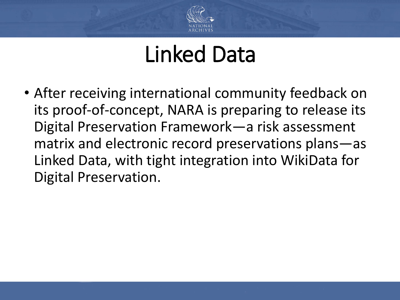

### Linked Data

• After receiving international community feedback on its proof-of-concept, NARA is preparing to release its Digital Preservation Framework—a risk assessment matrix and electronic record preservations plans—as Linked Data, with tight integration into WikiData for Digital Preservation.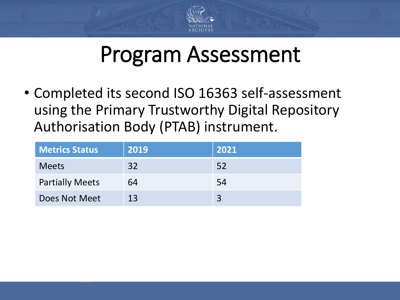

### Program Assessment

• Completed its second ISO 16363 self-assessment using the Primary Trustworthy Digital Repository Authorisation Body (PTAB) instrument.

| <b>Metrics Status</b>  | 2019 | 2021 |
|------------------------|------|------|
| <b>Meets</b>           | 32   | 52   |
| <b>Partially Meets</b> | 64   | 54   |
| Does Not Meet          | 13   |      |